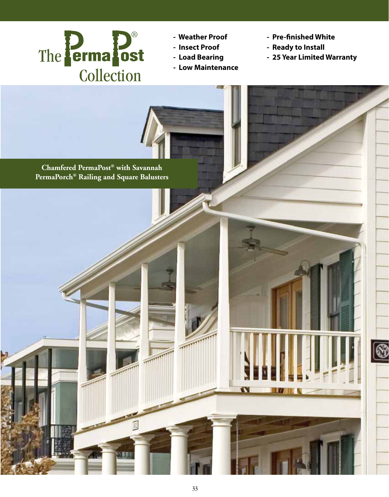

- **Weather Proof**
- **Insect Proof**
- **Load Bearing**
- **Low Maintenance**
- **Pre-finished White**
- **Ready to Install**
- **25 Year Limited Warranty**

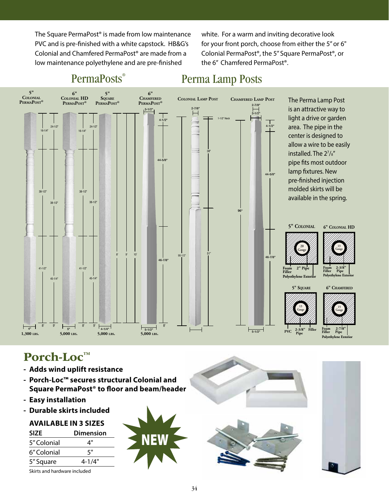The Square PermaPost® is made from low maintenance PVC and is pre-finished with a white capstock. HB&G's Colonial and Chamfered PermaPost® are made from a low maintenance polyethylene and are pre-finished

white. For a warm and inviting decorative look for your front porch, choose from either the 5" or 6" Colonial PermaPost®, the 5" Square PermaPost®, or the 6" Chamfered PermaPost®.



# PermaPosts<sup>®</sup>

## Perma Lamp Posts

Porch-Loc™

- **Adds wind uplift resistance**
- **Porch-Loc™ secures structural Colonial and Square PermaPost® to floor and beam/header**
- **Easy installation**
- **Durable skirts included**

#### **AVAILABLE IN 3 SIZES**

| <b>SIZE</b> | <b>Dimension</b> |
|-------------|------------------|
| 5" Colonial | 4"               |
| 6" Colonial | ς"               |
| 5" Square   | $4 - 1/4"$       |
|             |                  |

Skirts and hardware included